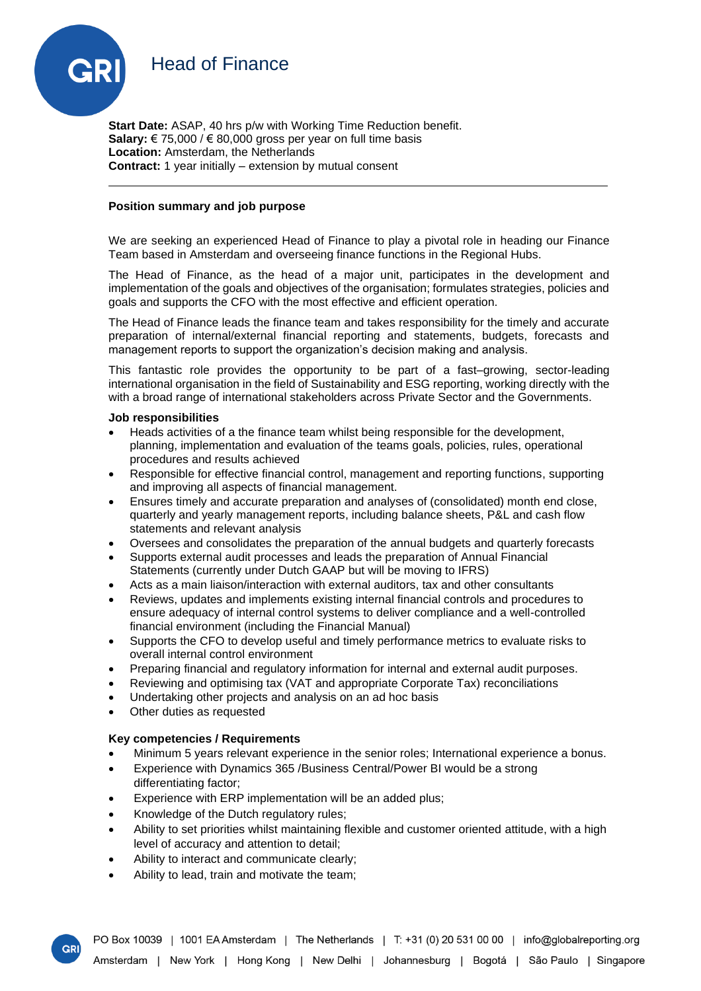



**Start Date:** ASAP, 40 hrs p/w with Working Time Reduction benefit. **Salary:** € 75,000 / € 80,000 gross per year on full time basis **Location:** Amsterdam, the Netherlands **Contract:** 1 year initially – extension by mutual consent

## **Position summary and job purpose**

We are seeking an experienced Head of Finance to play a pivotal role in heading our Finance Team based in Amsterdam and overseeing finance functions in the Regional Hubs.

The Head of Finance, as the head of a major unit, participates in the development and implementation of the goals and objectives of the organisation; formulates strategies, policies and goals and supports the CFO with the most effective and efficient operation.

The Head of Finance leads the finance team and takes responsibility for the timely and accurate preparation of internal/external financial reporting and statements, budgets, forecasts and management reports to support the organization's decision making and analysis.

This fantastic role provides the opportunity to be part of a fast–growing, sector-leading international organisation in the field of Sustainability and ESG reporting, working directly with the with a broad range of international stakeholders across Private Sector and the Governments.

## **Job responsibilities**

- Heads activities of a the finance team whilst being responsible for the development, planning, implementation and evaluation of the teams goals, policies, rules, operational procedures and results achieved
- Responsible for effective financial control, management and reporting functions, supporting and improving all aspects of financial management.
- Ensures timely and accurate preparation and analyses of (consolidated) month end close, quarterly and yearly management reports, including balance sheets, P&L and cash flow statements and relevant analysis
- Oversees and consolidates the preparation of the annual budgets and quarterly forecasts
- Supports external audit processes and leads the preparation of Annual Financial Statements (currently under Dutch GAAP but will be moving to IFRS)
- Acts as a main liaison/interaction with external auditors, tax and other consultants
- Reviews, updates and implements existing internal financial controls and procedures to ensure adequacy of internal control systems to deliver compliance and a well-controlled financial environment (including the Financial Manual)
- Supports the CFO to develop useful and timely performance metrics to evaluate risks to overall internal control environment
- Preparing financial and regulatory information for internal and external audit purposes.
- Reviewing and optimising tax (VAT and appropriate Corporate Tax) reconciliations
- Undertaking other projects and analysis on an ad hoc basis
- Other duties as requested

**GR** 

# **Key competencies / Requirements**

- Minimum 5 years relevant experience in the senior roles; International experience a bonus.
- Experience with Dynamics 365 /Business Central/Power BI would be a strong differentiating factor;
- Experience with ERP implementation will be an added plus;
- Knowledge of the Dutch regulatory rules;
- Ability to set priorities whilst maintaining flexible and customer oriented attitude, with a high level of accuracy and attention to detail;
- Ability to interact and communicate clearly;
- Ability to lead, train and motivate the team;